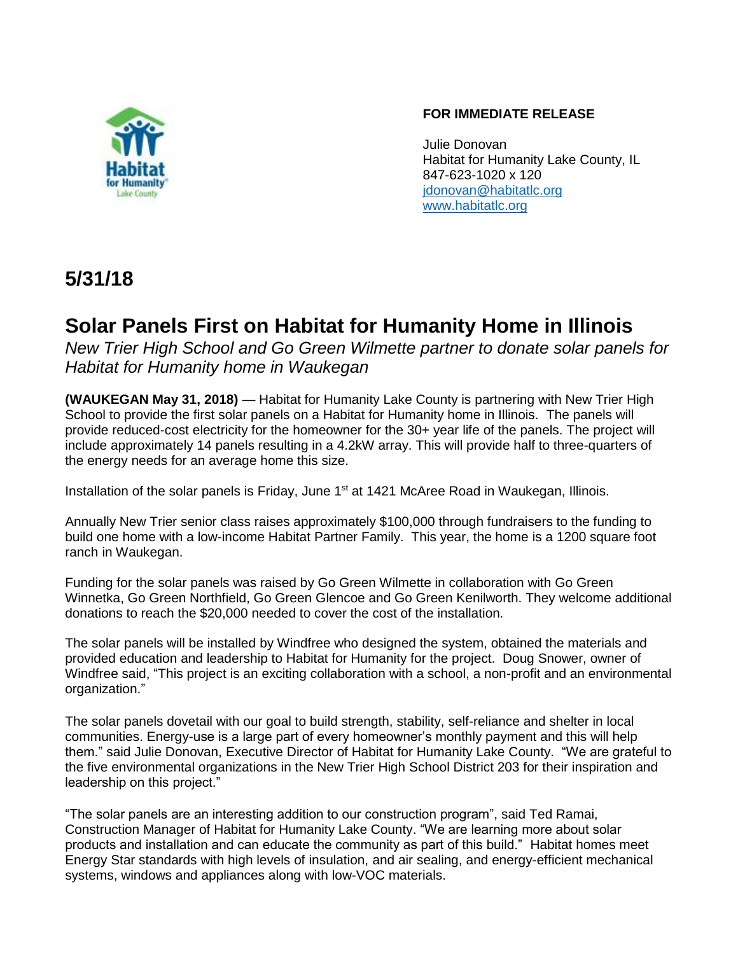

### **FOR IMMEDIATE RELEASE**

Julie Donovan Habitat for Humanity Lake County, IL 847-623-1020 x 120 [jdonovan@habitatlc.org](mailto:jdonovan@habitatlc.org) [www.habitatlc.org](http://www.habitatlc.org/)

## **5/31/18**

# **Solar Panels First on Habitat for Humanity Home in Illinois**

*New Trier High School and Go Green Wilmette partner to donate solar panels for Habitat for Humanity home in Waukegan*

**(WAUKEGAN May 31, 2018)** — Habitat for Humanity Lake County is partnering with New Trier High School to provide the first solar panels on a Habitat for Humanity home in Illinois. The panels will provide reduced-cost electricity for the homeowner for the 30+ year life of the panels. The project will include approximately 14 panels resulting in a 4.2kW array. This will provide half to three-quarters of the energy needs for an average home this size.

Installation of the solar panels is Friday, June 1<sup>st</sup> at 1421 McAree Road in Waukegan, Illinois.

Annually New Trier senior class raises approximately \$100,000 through fundraisers to the funding to build one home with a low-income Habitat Partner Family. This year, the home is a 1200 square foot ranch in Waukegan.

Funding for the solar panels was raised by Go Green Wilmette in collaboration with Go Green Winnetka, Go Green Northfield, Go Green Glencoe and Go Green Kenilworth. They welcome additional donations to reach the \$20,000 needed to cover the cost of the installation.

The solar panels will be installed by Windfree who designed the system, obtained the materials and provided education and leadership to Habitat for Humanity for the project. Doug Snower, owner of Windfree said, "This project is an exciting collaboration with a school, a non-profit and an environmental organization."

The solar panels dovetail with our goal to build strength, stability, self-reliance and shelter in local communities. Energy-use is a large part of every homeowner's monthly payment and this will help them." said Julie Donovan, Executive Director of Habitat for Humanity Lake County. "We are grateful to the five environmental organizations in the New Trier High School District 203 for their inspiration and leadership on this project."

"The solar panels are an interesting addition to our construction program", said Ted Ramai, Construction Manager of Habitat for Humanity Lake County. "We are learning more about solar products and installation and can educate the community as part of this build." Habitat homes meet Energy Star standards with high levels of insulation, and air sealing, and energy-efficient mechanical systems, windows and appliances along with low-VOC materials.